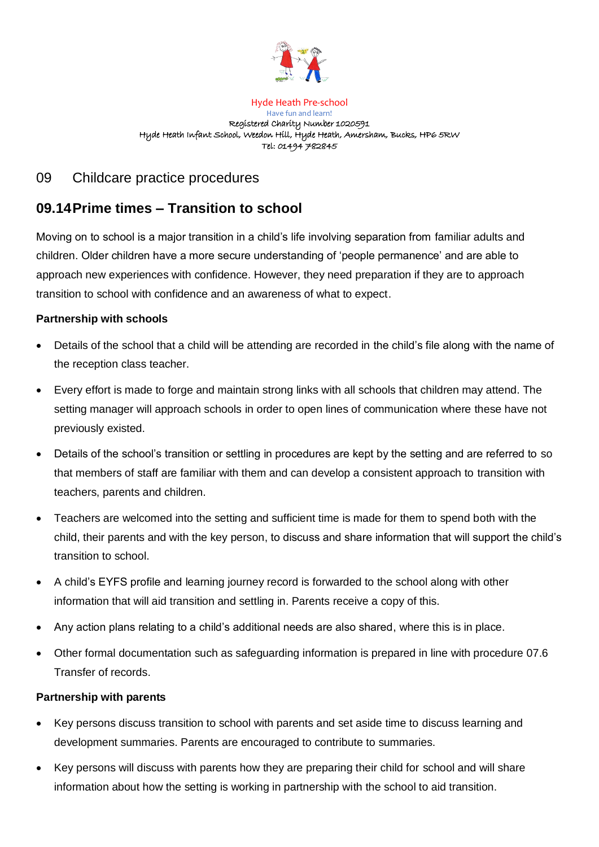

Hyde Heath Pre-school Have fun and learn! Registered Charity Number 1020591 Hyde Heath Infant School, Weedon Hill, Hyde Heath, Amersham, Bucks, HP6 5RW Tel: 01494 782845

## 09 Childcare practice procedures

# **09.14Prime times – Transition to school**

Moving on to school is a major transition in a child's life involving separation from familiar adults and children. Older children have a more secure understanding of 'people permanence' and are able to approach new experiences with confidence. However, they need preparation if they are to approach transition to school with confidence and an awareness of what to expect.

### **Partnership with schools**

- Details of the school that a child will be attending are recorded in the child's file along with the name of the reception class teacher.
- Every effort is made to forge and maintain strong links with all schools that children may attend. The setting manager will approach schools in order to open lines of communication where these have not previously existed.
- Details of the school's transition or settling in procedures are kept by the setting and are referred to so that members of staff are familiar with them and can develop a consistent approach to transition with teachers, parents and children.
- Teachers are welcomed into the setting and sufficient time is made for them to spend both with the child, their parents and with the key person, to discuss and share information that will support the child's transition to school.
- A child's EYFS profile and learning journey record is forwarded to the school along with other information that will aid transition and settling in. Parents receive a copy of this.
- Any action plans relating to a child's additional needs are also shared, where this is in place.
- Other formal documentation such as safeguarding information is prepared in line with procedure 07.6 Transfer of records.

#### **Partnership with parents**

- Key persons discuss transition to school with parents and set aside time to discuss learning and development summaries. Parents are encouraged to contribute to summaries.
- Key persons will discuss with parents how they are preparing their child for school and will share information about how the setting is working in partnership with the school to aid transition.